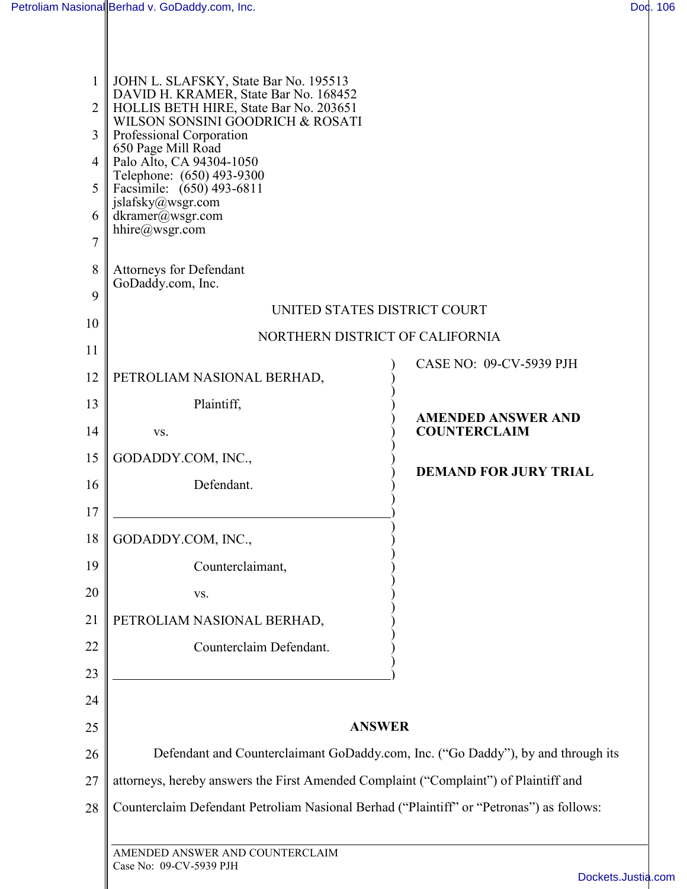| 1<br>$\overline{2}$<br>3<br>$\overline{4}$<br>5<br>6 | JOHN L. SLAFSKY, State Bar No. 195513<br>DAVID H. KRAMER, State Bar No. 168452<br>HOLLIS BETH HIRE, State Bar No. 203651<br>WILSON SONSINI GOODRICH & ROSATI<br>Professional Corporation<br>650 Page Mill Road<br>Palo Alto, CA 94304-1050<br>Telephone: (650) 493-9300<br>Facsimile: (650) 493-6811<br>jslafsky@wsgr.com<br>dkramer@wsgr.com |                                                  |
|------------------------------------------------------|-----------------------------------------------------------------------------------------------------------------------------------------------------------------------------------------------------------------------------------------------------------------------------------------------------------------------------------------------|--------------------------------------------------|
| $\overline{7}$                                       | hhire@wsgr.com                                                                                                                                                                                                                                                                                                                                |                                                  |
| 8                                                    | <b>Attorneys for Defendant</b><br>GoDaddy.com, Inc.                                                                                                                                                                                                                                                                                           |                                                  |
| 9                                                    | UNITED STATES DISTRICT COURT                                                                                                                                                                                                                                                                                                                  |                                                  |
| 10                                                   | NORTHERN DISTRICT OF CALIFORNIA                                                                                                                                                                                                                                                                                                               |                                                  |
| 11<br>12                                             | PETROLIAM NASIONAL BERHAD,                                                                                                                                                                                                                                                                                                                    | CASE NO: 09-CV-5939 PJH                          |
| 13                                                   | Plaintiff,                                                                                                                                                                                                                                                                                                                                    |                                                  |
| 14                                                   | VS.                                                                                                                                                                                                                                                                                                                                           | <b>AMENDED ANSWER AND</b><br><b>COUNTERCLAIM</b> |
| 15                                                   | GODADDY.COM, INC.,                                                                                                                                                                                                                                                                                                                            |                                                  |
| 16                                                   | Defendant.                                                                                                                                                                                                                                                                                                                                    | <b>DEMAND FOR JURY TRIAL</b>                     |
| 17                                                   |                                                                                                                                                                                                                                                                                                                                               |                                                  |
| 18                                                   | GODADDY.COM, INC.                                                                                                                                                                                                                                                                                                                             |                                                  |
| 19                                                   | Counterclaimant,                                                                                                                                                                                                                                                                                                                              |                                                  |
| 20                                                   | VS.                                                                                                                                                                                                                                                                                                                                           |                                                  |
| 21                                                   | PETROLIAM NASIONAL BERHAD,                                                                                                                                                                                                                                                                                                                    |                                                  |
| 22                                                   | Counterclaim Defendant.                                                                                                                                                                                                                                                                                                                       |                                                  |
| 23                                                   |                                                                                                                                                                                                                                                                                                                                               |                                                  |
| 24                                                   |                                                                                                                                                                                                                                                                                                                                               |                                                  |
| 25                                                   | <b>ANSWER</b>                                                                                                                                                                                                                                                                                                                                 |                                                  |
| 26                                                   | Defendant and Counterclaimant GoDaddy.com, Inc. ("Go Daddy"), by and through its                                                                                                                                                                                                                                                              |                                                  |
| 27                                                   | attorneys, hereby answers the First Amended Complaint ("Complaint") of Plaintiff and                                                                                                                                                                                                                                                          |                                                  |
| 28                                                   | Counterclaim Defendant Petroliam Nasional Berhad ("Plaintiff" or "Petronas") as follows:                                                                                                                                                                                                                                                      |                                                  |
|                                                      | AMENDED ANSWER AND COUNTERCLAIM<br>Case No: 09-CV-5939 PJH                                                                                                                                                                                                                                                                                    | Dockets.Jus                                      |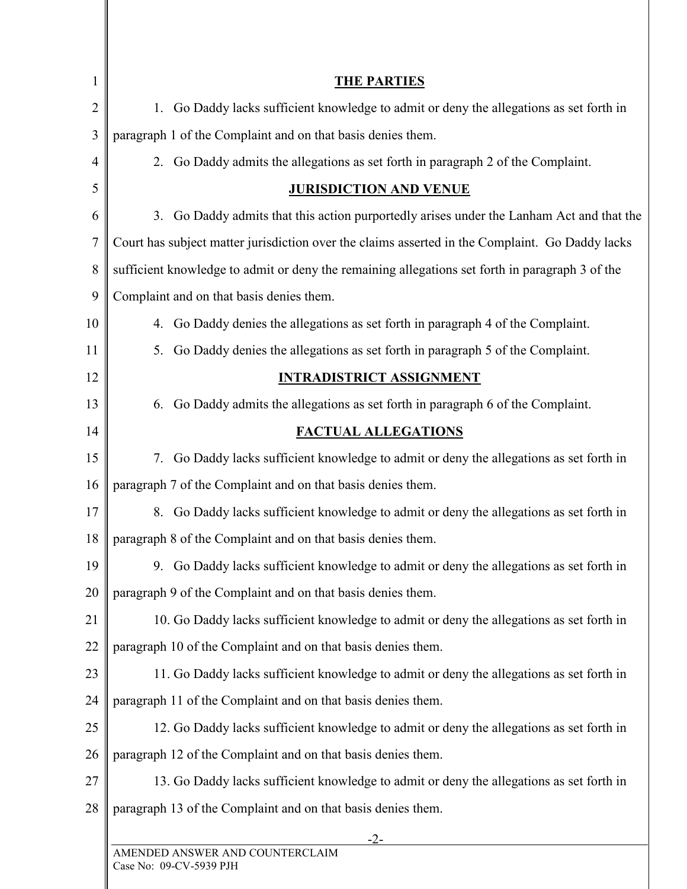| 1              | <b>THE PARTIES</b>                                                                              |
|----------------|-------------------------------------------------------------------------------------------------|
| $\overline{2}$ | 1. Go Daddy lacks sufficient knowledge to admit or deny the allegations as set forth in         |
| 3              | paragraph 1 of the Complaint and on that basis denies them.                                     |
| $\overline{4}$ | 2. Go Daddy admits the allegations as set forth in paragraph 2 of the Complaint.                |
| 5              | <b>JURISDICTION AND VENUE</b>                                                                   |
| 6              | 3. Go Daddy admits that this action purportedly arises under the Lanham Act and that the        |
| 7              | Court has subject matter jurisdiction over the claims asserted in the Complaint. Go Daddy lacks |
| 8              | sufficient knowledge to admit or deny the remaining allegations set forth in paragraph 3 of the |
| 9              | Complaint and on that basis denies them.                                                        |
| 10             | 4. Go Daddy denies the allegations as set forth in paragraph 4 of the Complaint.                |
| 11             | Go Daddy denies the allegations as set forth in paragraph 5 of the Complaint.<br>5.             |
| 12             | <b>INTRADISTRICT ASSIGNMENT</b>                                                                 |
| 13             | 6. Go Daddy admits the allegations as set forth in paragraph 6 of the Complaint.                |
| 14             | <b>FACTUAL ALLEGATIONS</b>                                                                      |
| 15             | 7. Go Daddy lacks sufficient knowledge to admit or deny the allegations as set forth in         |
| 16             | paragraph 7 of the Complaint and on that basis denies them.                                     |
| 17             | 8. Go Daddy lacks sufficient knowledge to admit or deny the allegations as set forth in         |
| 18             | paragraph 8 of the Complaint and on that basis denies them.                                     |
| 19             | 9. Go Daddy lacks sufficient knowledge to admit or deny the allegations as set forth in         |
| 20             | paragraph 9 of the Complaint and on that basis denies them.                                     |
| 21             | 10. Go Daddy lacks sufficient knowledge to admit or deny the allegations as set forth in        |
| 22             | paragraph 10 of the Complaint and on that basis denies them.                                    |
| 23             | 11. Go Daddy lacks sufficient knowledge to admit or deny the allegations as set forth in        |
| 24             | paragraph 11 of the Complaint and on that basis denies them.                                    |
| 25             | 12. Go Daddy lacks sufficient knowledge to admit or deny the allegations as set forth in        |
| 26             | paragraph 12 of the Complaint and on that basis denies them.                                    |
| 27             | 13. Go Daddy lacks sufficient knowledge to admit or deny the allegations as set forth in        |
| 28             | paragraph 13 of the Complaint and on that basis denies them.                                    |
|                | $-2-$<br>AMENDED ANSWER AND COUNTERCLAIM                                                        |
|                | $\cap$ ase No: $\cap$ 0-CV-5030 PIH                                                             |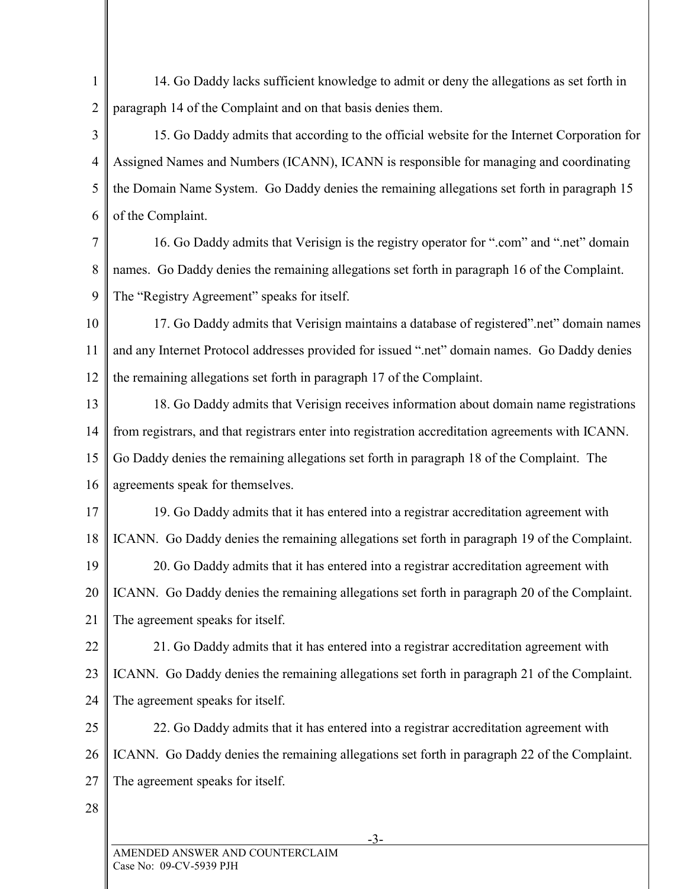1  $\overline{2}$ 14. Go Daddy lacks sufficient knowledge to admit or deny the allegations as set forth in paragraph 14 of the Complaint and on that basis denies them.

3 4 5 6 15. Go Daddy admits that according to the official website for the Internet Corporation for Assigned Names and Numbers (ICANN), ICANN is responsible for managing and coordinating the Domain Name System. Go Daddy denies the remaining allegations set forth in paragraph 15 of the Complaint.

7 8 9 16. Go Daddy admits that Verisign is the registry operator for ".com" and ".net" domain names. Go Daddy denies the remaining allegations set forth in paragraph 16 of the Complaint. The "Registry Agreement" speaks for itself.

10 11 12 17. Go Daddy admits that Verisign maintains a database of registered".net" domain names and any Internet Protocol addresses provided for issued ".net" domain names. Go Daddy denies the remaining allegations set forth in paragraph 17 of the Complaint.

13 14 15 16 18. Go Daddy admits that Verisign receives information about domain name registrations from registrars, and that registrars enter into registration accreditation agreements with ICANN. Go Daddy denies the remaining allegations set forth in paragraph 18 of the Complaint. The agreements speak for themselves.

17 18 19 20 21 19. Go Daddy admits that it has entered into a registrar accreditation agreement with ICANN. Go Daddy denies the remaining allegations set forth in paragraph 19 of the Complaint. 20. Go Daddy admits that it has entered into a registrar accreditation agreement with ICANN. Go Daddy denies the remaining allegations set forth in paragraph 20 of the Complaint. The agreement speaks for itself.

22 23 21. Go Daddy admits that it has entered into a registrar accreditation agreement with ICANN. Go Daddy denies the remaining allegations set forth in paragraph 21 of the Complaint.

24 The agreement speaks for itself.

25 26 27 22. Go Daddy admits that it has entered into a registrar accreditation agreement with ICANN. Go Daddy denies the remaining allegations set forth in paragraph 22 of the Complaint. The agreement speaks for itself.

28

-3-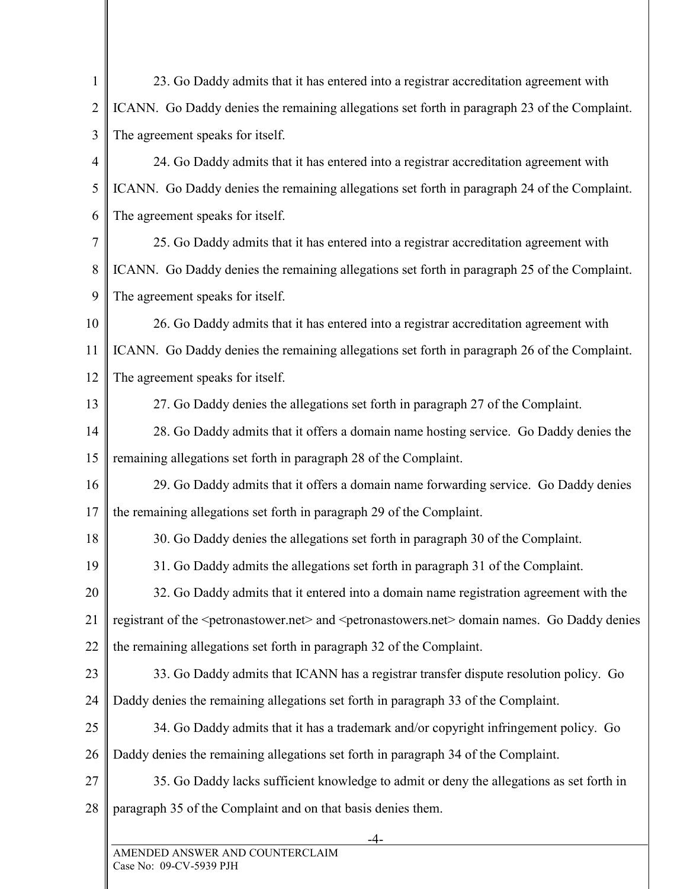| 1              | 23. Go Daddy admits that it has entered into a registrar accreditation agreement with                                                 |
|----------------|---------------------------------------------------------------------------------------------------------------------------------------|
| $\overline{2}$ | ICANN. Go Daddy denies the remaining allegations set forth in paragraph 23 of the Complaint.                                          |
| 3              | The agreement speaks for itself.                                                                                                      |
| $\overline{4}$ | 24. Go Daddy admits that it has entered into a registrar accreditation agreement with                                                 |
| 5              | ICANN. Go Daddy denies the remaining allegations set forth in paragraph 24 of the Complaint.                                          |
| 6              | The agreement speaks for itself.                                                                                                      |
| 7              | 25. Go Daddy admits that it has entered into a registrar accreditation agreement with                                                 |
| 8              | ICANN. Go Daddy denies the remaining allegations set forth in paragraph 25 of the Complaint.                                          |
| 9              | The agreement speaks for itself.                                                                                                      |
| 10             | 26. Go Daddy admits that it has entered into a registrar accreditation agreement with                                                 |
| 11             | ICANN. Go Daddy denies the remaining allegations set forth in paragraph 26 of the Complaint.                                          |
| 12             | The agreement speaks for itself.                                                                                                      |
| 13             | 27. Go Daddy denies the allegations set forth in paragraph 27 of the Complaint.                                                       |
| 14             | 28. Go Daddy admits that it offers a domain name hosting service. Go Daddy denies the                                                 |
| 15             | remaining allegations set forth in paragraph 28 of the Complaint.                                                                     |
| 16             | 29. Go Daddy admits that it offers a domain name forwarding service. Go Daddy denies                                                  |
| 17             | the remaining allegations set forth in paragraph 29 of the Complaint.                                                                 |
| 18             | 30. Go Daddy denies the allegations set forth in paragraph 30 of the Complaint.                                                       |
| 19             | 31. Go Daddy admits the allegations set forth in paragraph 31 of the Complaint.                                                       |
| 20             | 32. Go Daddy admits that it entered into a domain name registration agreement with the                                                |
| 21             | registrant of the <petronastower.net> and <petronastowers.net> domain names. Go Daddy denies</petronastowers.net></petronastower.net> |
| 22             | the remaining allegations set forth in paragraph 32 of the Complaint.                                                                 |
| 23             | 33. Go Daddy admits that ICANN has a registrar transfer dispute resolution policy. Go                                                 |
| 24             | Daddy denies the remaining allegations set forth in paragraph 33 of the Complaint.                                                    |
| 25             | 34. Go Daddy admits that it has a trademark and/or copyright infringement policy. Go                                                  |
| 26             | Daddy denies the remaining allegations set forth in paragraph 34 of the Complaint.                                                    |
| 27             | 35. Go Daddy lacks sufficient knowledge to admit or deny the allegations as set forth in                                              |
| 28             | paragraph 35 of the Complaint and on that basis denies them.                                                                          |
|                | AMENDED ANSWED AND COUNTERCLAIM                                                                                                       |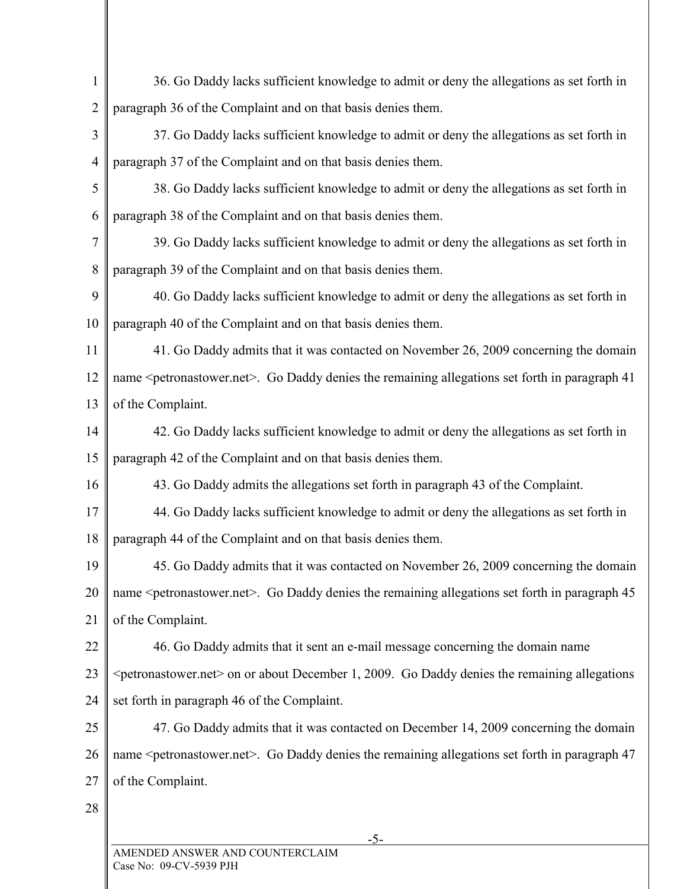| 1              | 36. Go Daddy lacks sufficient knowledge to admit or deny the allegations as set forth in                          |
|----------------|-------------------------------------------------------------------------------------------------------------------|
| $\overline{2}$ | paragraph 36 of the Complaint and on that basis denies them.                                                      |
| 3              | 37. Go Daddy lacks sufficient knowledge to admit or deny the allegations as set forth in                          |
| $\overline{4}$ | paragraph 37 of the Complaint and on that basis denies them.                                                      |
| 5              | 38. Go Daddy lacks sufficient knowledge to admit or deny the allegations as set forth in                          |
| 6              | paragraph 38 of the Complaint and on that basis denies them.                                                      |
| 7              | 39. Go Daddy lacks sufficient knowledge to admit or deny the allegations as set forth in                          |
| 8              | paragraph 39 of the Complaint and on that basis denies them.                                                      |
| 9              | 40. Go Daddy lacks sufficient knowledge to admit or deny the allegations as set forth in                          |
| 10             | paragraph 40 of the Complaint and on that basis denies them.                                                      |
| 11             | 41. Go Daddy admits that it was contacted on November 26, 2009 concerning the domain                              |
| 12             | name <petronastower.net>. Go Daddy denies the remaining allegations set forth in paragraph 41</petronastower.net> |
| 13             | of the Complaint.                                                                                                 |
| 14             | 42. Go Daddy lacks sufficient knowledge to admit or deny the allegations as set forth in                          |
| 15             | paragraph 42 of the Complaint and on that basis denies them.                                                      |
| 16             | 43. Go Daddy admits the allegations set forth in paragraph 43 of the Complaint.                                   |
| 17             | 44. Go Daddy lacks sufficient knowledge to admit or deny the allegations as set forth in                          |
| 18             | paragraph 44 of the Complaint and on that basis denies them.                                                      |
| 19             | 45. Go Daddy admits that it was contacted on November 26, 2009 concerning the domain                              |
| 20             | name <petronastower.net>. Go Daddy denies the remaining allegations set forth in paragraph 45</petronastower.net> |
| 21             | of the Complaint.                                                                                                 |
| 22             | 46. Go Daddy admits that it sent an e-mail message concerning the domain name                                     |
| 23             | <petronastower.net> on or about December 1, 2009. Go Daddy denies the remaining allegations</petronastower.net>   |
| 24             | set forth in paragraph 46 of the Complaint.                                                                       |
| 25             | 47. Go Daddy admits that it was contacted on December 14, 2009 concerning the domain                              |
| 26             | name <petronastower.net>. Go Daddy denies the remaining allegations set forth in paragraph 47</petronastower.net> |
| 27             | of the Complaint.                                                                                                 |
| 28             |                                                                                                                   |
|                |                                                                                                                   |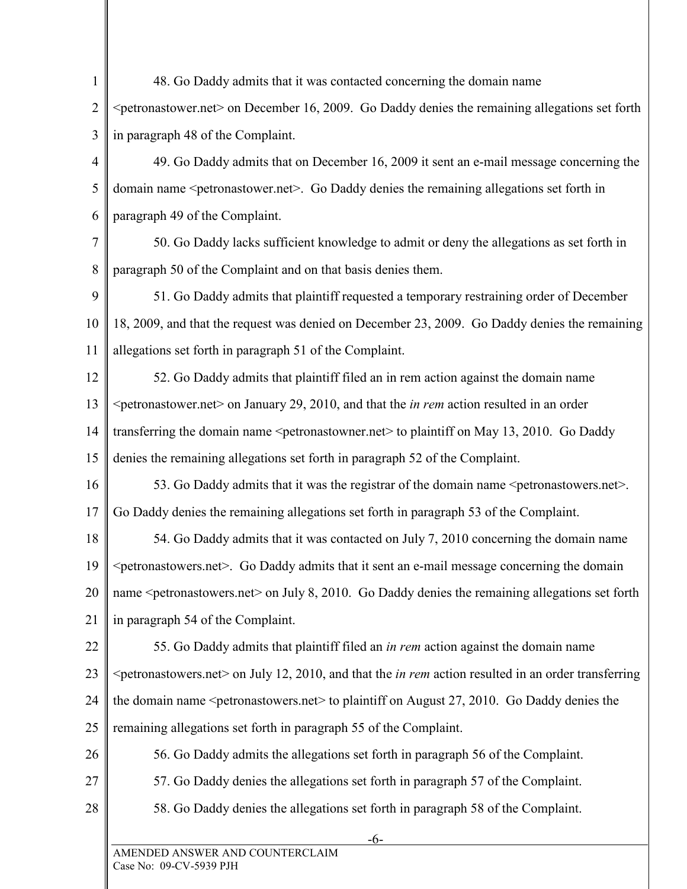1  $\overline{2}$ 3 4 5 6 7 8 9 10 11 12 13 14 15 16 17 18 19 20 21 22 23 24 25 26 27 28 -6- 48. Go Daddy admits that it was contacted concerning the domain name <petronastower.net> on December 16, 2009. Go Daddy denies the remaining allegations set forth in paragraph 48 of the Complaint. 49. Go Daddy admits that on December 16, 2009 it sent an e-mail message concerning the domain name <petronastower.net>. Go Daddy denies the remaining allegations set forth in paragraph 49 of the Complaint. 50. Go Daddy lacks sufficient knowledge to admit or deny the allegations as set forth in paragraph 50 of the Complaint and on that basis denies them. 51. Go Daddy admits that plaintiff requested a temporary restraining order of December 18, 2009, and that the request was denied on December 23, 2009. Go Daddy denies the remaining allegations set forth in paragraph 51 of the Complaint. 52. Go Daddy admits that plaintiff filed an in rem action against the domain name <petronastower.net> on January 29, 2010, and that the *in rem* action resulted in an order transferring the domain name <petronastowner.net> to plaintiff on May 13, 2010. Go Daddy denies the remaining allegations set forth in paragraph 52 of the Complaint. 53. Go Daddy admits that it was the registrar of the domain name <petronastowers.net>. Go Daddy denies the remaining allegations set forth in paragraph 53 of the Complaint. 54. Go Daddy admits that it was contacted on July 7, 2010 concerning the domain name <petronastowers.net>. Go Daddy admits that it sent an e-mail message concerning the domain name <petronastowers.net > on July 8, 2010. Go Daddy denies the remaining allegations set forth in paragraph 54 of the Complaint. 55. Go Daddy admits that plaintiff filed an *in rem* action against the domain name <petronastowers.net> on July 12, 2010, and that the *in rem* action resulted in an order transferring the domain name <petronastowers.net> to plaintiff on August 27, 2010. Go Daddy denies the remaining allegations set forth in paragraph 55 of the Complaint. 56. Go Daddy admits the allegations set forth in paragraph 56 of the Complaint. 57. Go Daddy denies the allegations set forth in paragraph 57 of the Complaint. 58. Go Daddy denies the allegations set forth in paragraph 58 of the Complaint.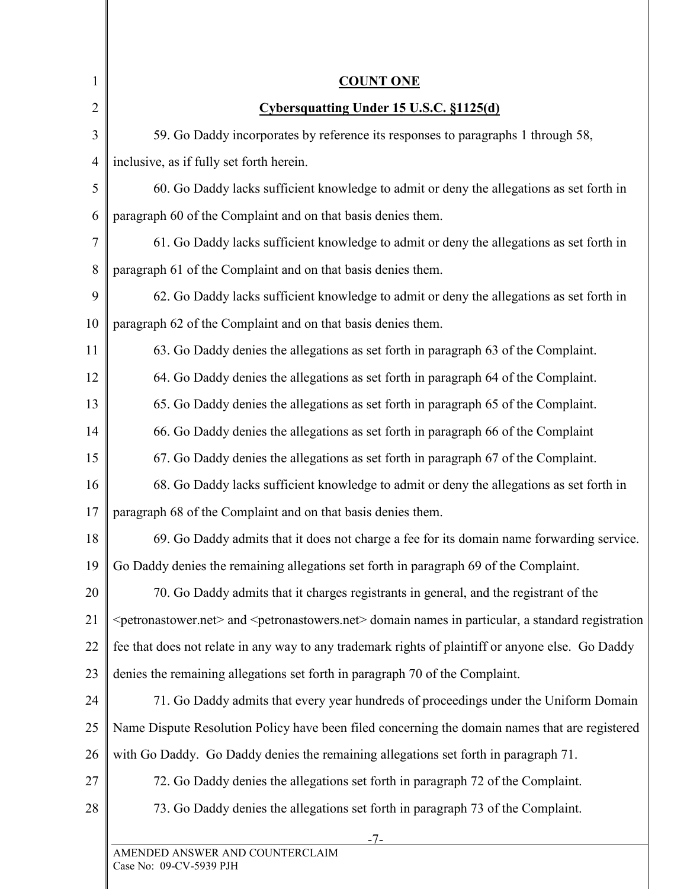| $\mathbf{1}$   | <b>COUNT ONE</b>                                                                                                                          |
|----------------|-------------------------------------------------------------------------------------------------------------------------------------------|
| $\overline{2}$ | Cybersquatting Under 15 U.S.C. §1125(d)                                                                                                   |
| 3              | 59. Go Daddy incorporates by reference its responses to paragraphs 1 through 58,                                                          |
| $\overline{4}$ | inclusive, as if fully set forth herein.                                                                                                  |
| 5              | 60. Go Daddy lacks sufficient knowledge to admit or deny the allegations as set forth in                                                  |
| 6              | paragraph 60 of the Complaint and on that basis denies them.                                                                              |
| 7              | 61. Go Daddy lacks sufficient knowledge to admit or deny the allegations as set forth in                                                  |
| 8              | paragraph 61 of the Complaint and on that basis denies them.                                                                              |
| 9              | 62. Go Daddy lacks sufficient knowledge to admit or deny the allegations as set forth in                                                  |
| 10             | paragraph 62 of the Complaint and on that basis denies them.                                                                              |
| 11             | 63. Go Daddy denies the allegations as set forth in paragraph 63 of the Complaint.                                                        |
| 12             | 64. Go Daddy denies the allegations as set forth in paragraph 64 of the Complaint.                                                        |
| 13             | 65. Go Daddy denies the allegations as set forth in paragraph 65 of the Complaint.                                                        |
| 14             | 66. Go Daddy denies the allegations as set forth in paragraph 66 of the Complaint                                                         |
| 15             | 67. Go Daddy denies the allegations as set forth in paragraph 67 of the Complaint.                                                        |
| 16             | 68. Go Daddy lacks sufficient knowledge to admit or deny the allegations as set forth in                                                  |
| 17             | paragraph 68 of the Complaint and on that basis denies them.                                                                              |
| 18             | 69. Go Daddy admits that it does not charge a fee for its domain name forwarding service.                                                 |
| 19             | Go Daddy denies the remaining allegations set forth in paragraph 69 of the Complaint.                                                     |
| 20             | 70. Go Daddy admits that it charges registrants in general, and the registrant of the                                                     |
| 21             | <petronastower.net> and <petronastowers.net> domain names in particular, a standard registration</petronastowers.net></petronastower.net> |
| 22             | fee that does not relate in any way to any trademark rights of plaintiff or anyone else. Go Daddy                                         |
| 23             | denies the remaining allegations set forth in paragraph 70 of the Complaint.                                                              |
| 24             | 71. Go Daddy admits that every year hundreds of proceedings under the Uniform Domain                                                      |
| 25             | Name Dispute Resolution Policy have been filed concerning the domain names that are registered                                            |
| 26             | with Go Daddy. Go Daddy denies the remaining allegations set forth in paragraph 71.                                                       |
| 27             | 72. Go Daddy denies the allegations set forth in paragraph 72 of the Complaint.                                                           |
| 28             | 73. Go Daddy denies the allegations set forth in paragraph 73 of the Complaint.                                                           |
|                | -7-<br>AMENDED ANSWER AND COUNTERCLAIM                                                                                                    |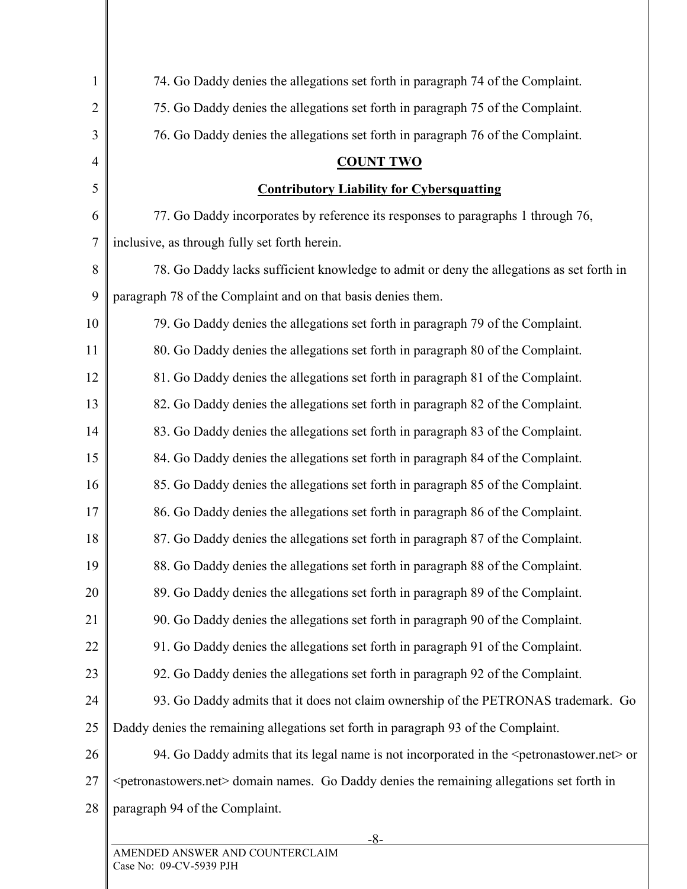| 1              | 74. Go Daddy denies the allegations set forth in paragraph 74 of the Complaint.                                |
|----------------|----------------------------------------------------------------------------------------------------------------|
| $\overline{2}$ | 75. Go Daddy denies the allegations set forth in paragraph 75 of the Complaint.                                |
| 3              | 76. Go Daddy denies the allegations set forth in paragraph 76 of the Complaint.                                |
| 4              | <b>COUNT TWO</b>                                                                                               |
| 5              | <b>Contributory Liability for Cybersquatting</b>                                                               |
| 6              | 77. Go Daddy incorporates by reference its responses to paragraphs 1 through 76,                               |
| 7              | inclusive, as through fully set forth herein.                                                                  |
| 8              | 78. Go Daddy lacks sufficient knowledge to admit or deny the allegations as set forth in                       |
| 9              | paragraph 78 of the Complaint and on that basis denies them.                                                   |
| 10             | 79. Go Daddy denies the allegations set forth in paragraph 79 of the Complaint.                                |
| 11             | 80. Go Daddy denies the allegations set forth in paragraph 80 of the Complaint.                                |
| 12             | 81. Go Daddy denies the allegations set forth in paragraph 81 of the Complaint.                                |
| 13             | 82. Go Daddy denies the allegations set forth in paragraph 82 of the Complaint.                                |
| 14             | 83. Go Daddy denies the allegations set forth in paragraph 83 of the Complaint.                                |
| 15             | 84. Go Daddy denies the allegations set forth in paragraph 84 of the Complaint.                                |
| 16             | 85. Go Daddy denies the allegations set forth in paragraph 85 of the Complaint.                                |
| 17             | 86. Go Daddy denies the allegations set forth in paragraph 86 of the Complaint.                                |
| 18             | 87. Go Daddy denies the allegations set forth in paragraph 87 of the Complaint.                                |
| 19             | 88. Go Daddy denies the allegations set forth in paragraph 88 of the Complaint.                                |
| 20             | 89. Go Daddy denies the allegations set forth in paragraph 89 of the Complaint.                                |
| 21             | 90. Go Daddy denies the allegations set forth in paragraph 90 of the Complaint.                                |
| 22             | 91. Go Daddy denies the allegations set forth in paragraph 91 of the Complaint.                                |
| 23             | 92. Go Daddy denies the allegations set forth in paragraph 92 of the Complaint.                                |
| 24             | 93. Go Daddy admits that it does not claim ownership of the PETRONAS trademark. Go                             |
| 25             | Daddy denies the remaining allegations set forth in paragraph 93 of the Complaint.                             |
| 26             | 94. Go Daddy admits that its legal name is not incorporated in the <petronastower.net> or</petronastower.net>  |
| 27             | <petronastowers.net> domain names. Go Daddy denies the remaining allegations set forth in</petronastowers.net> |
| 28             | paragraph 94 of the Complaint.                                                                                 |
|                | -8-                                                                                                            |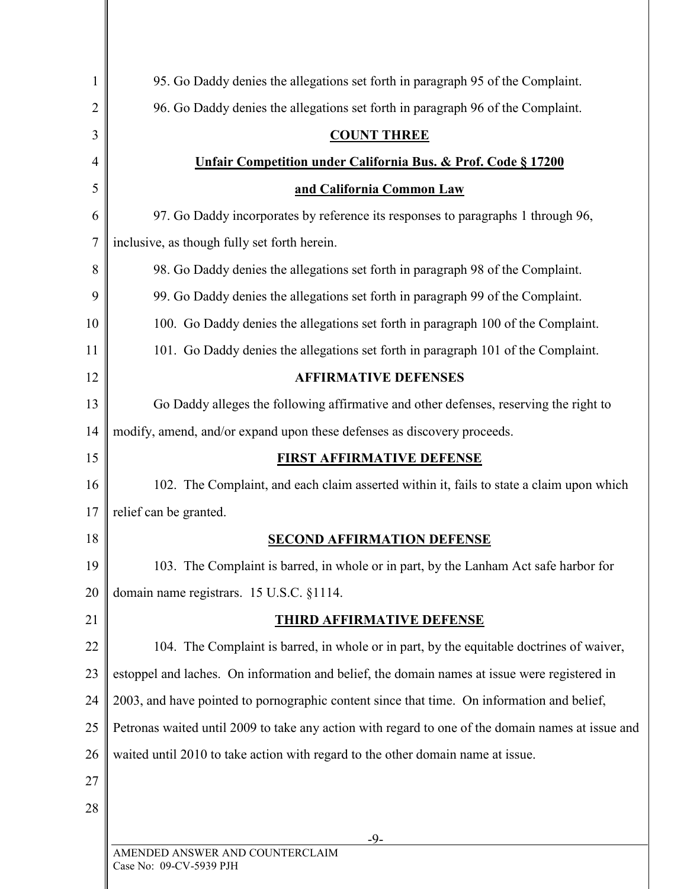| 1  | 95. Go Daddy denies the allegations set forth in paragraph 95 of the Complaint.                   |
|----|---------------------------------------------------------------------------------------------------|
| 2  | 96. Go Daddy denies the allegations set forth in paragraph 96 of the Complaint.                   |
| 3  | <b>COUNT THREE</b>                                                                                |
| 4  | <b>Unfair Competition under California Bus. &amp; Prof. Code § 17200</b>                          |
| 5  | and California Common Law                                                                         |
| 6  | 97. Go Daddy incorporates by reference its responses to paragraphs 1 through 96,                  |
| 7  | inclusive, as though fully set forth herein.                                                      |
| 8  | 98. Go Daddy denies the allegations set forth in paragraph 98 of the Complaint.                   |
| 9  | 99. Go Daddy denies the allegations set forth in paragraph 99 of the Complaint.                   |
| 10 | 100. Go Daddy denies the allegations set forth in paragraph 100 of the Complaint.                 |
| 11 | 101. Go Daddy denies the allegations set forth in paragraph 101 of the Complaint.                 |
| 12 | <b>AFFIRMATIVE DEFENSES</b>                                                                       |
| 13 | Go Daddy alleges the following affirmative and other defenses, reserving the right to             |
| 14 | modify, amend, and/or expand upon these defenses as discovery proceeds.                           |
| 15 | <b>FIRST AFFIRMATIVE DEFENSE</b>                                                                  |
| 16 | 102. The Complaint, and each claim asserted within it, fails to state a claim upon which          |
| 17 | relief can be granted.                                                                            |
| 18 | <b>SECOND AFFIRMATION DEFENSE</b>                                                                 |
| 19 | 103. The Complaint is barred, in whole or in part, by the Lanham Act safe harbor for              |
| 20 | domain name registrars. 15 U.S.C. §1114.                                                          |
| 21 | <b>THIRD AFFIRMATIVE DEFENSE</b>                                                                  |
| 22 | 104. The Complaint is barred, in whole or in part, by the equitable doctrines of waiver,          |
| 23 | estoppel and laches. On information and belief, the domain names at issue were registered in      |
| 24 | 2003, and have pointed to pornographic content since that time. On information and belief,        |
| 25 | Petronas waited until 2009 to take any action with regard to one of the domain names at issue and |
| 26 | waited until 2010 to take action with regard to the other domain name at issue.                   |
| 27 |                                                                                                   |
| 28 |                                                                                                   |
|    | -9-                                                                                               |
|    | AMENDED ANSWER AND COUNTERCLAIM<br>900 No: 00 CV 5020 DIH                                         |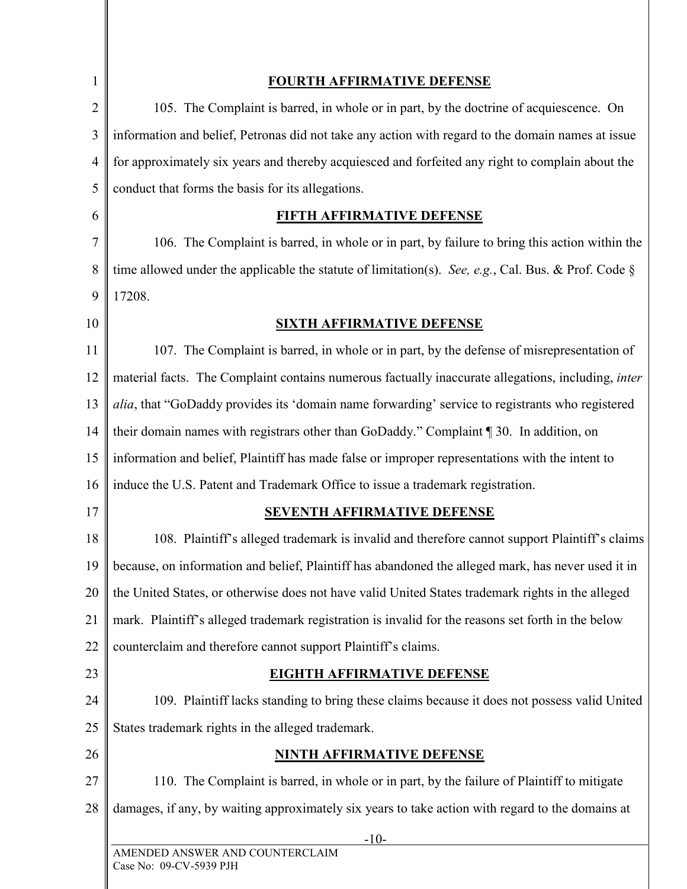| $\mathbf{1}$   | <u>FOURTH AFFIRMATIVE DEFENSE</u>                                                                        |
|----------------|----------------------------------------------------------------------------------------------------------|
| $\overline{2}$ | 105. The Complaint is barred, in whole or in part, by the doctrine of acquiescence. On                   |
| 3              | information and belief, Petronas did not take any action with regard to the domain names at issue        |
| $\overline{4}$ | for approximately six years and thereby acquiesced and forfeited any right to complain about the         |
| 5              | conduct that forms the basis for its allegations.                                                        |
| 6              | FIFTH AFFIRMATIVE DEFENSE                                                                                |
| 7              | 106. The Complaint is barred, in whole or in part, by failure to bring this action within the            |
| 8              | time allowed under the applicable the statute of limitation(s). See, e.g., Cal. Bus. & Prof. Code $\S$   |
| 9              | 17208.                                                                                                   |
| 10             | <b>SIXTH AFFIRMATIVE DEFENSE</b>                                                                         |
| 11             | 107. The Complaint is barred, in whole or in part, by the defense of misrepresentation of                |
| 12             | material facts. The Complaint contains numerous factually inaccurate allegations, including, inter       |
| 13             | alia, that "GoDaddy provides its 'domain name forwarding' service to registrants who registered          |
| 14             | their domain names with registrars other than GoDaddy." Complaint ¶ 30. In addition, on                  |
| 15             | information and belief, Plaintiff has made false or improper representations with the intent to          |
| 16             | induce the U.S. Patent and Trademark Office to issue a trademark registration.                           |
| 17             | <b>SEVENTH AFFIRMATIVE DEFENSE</b>                                                                       |
| 18             | 108. Plaintiff's alleged trademark is invalid and therefore cannot support Plaintiff's claims            |
|                | 19    because, on information and belief, Plaintiff has abandoned the alleged mark, has never used it in |
| 20             | the United States, or otherwise does not have valid United States trademark rights in the alleged        |
| 21             | mark. Plaintiff's alleged trademark registration is invalid for the reasons set forth in the below       |
| 22             | counterclaim and therefore cannot support Plaintiff's claims.                                            |
| 23             | <b>EIGHTH AFFIRMATIVE DEFENSE</b>                                                                        |
| 24             | 109. Plaintiff lacks standing to bring these claims because it does not possess valid United             |
| 25             | States trademark rights in the alleged trademark.                                                        |
| 26             | <b>NINTH AFFIRMATIVE DEFENSE</b>                                                                         |
| 27             | 110. The Complaint is barred, in whole or in part, by the failure of Plaintiff to mitigate               |
| 28             | damages, if any, by waiting approximately six years to take action with regard to the domains at         |
|                | $-10-$                                                                                                   |
|                | AMENDED ANSWER AND COUNTERCLAIM                                                                          |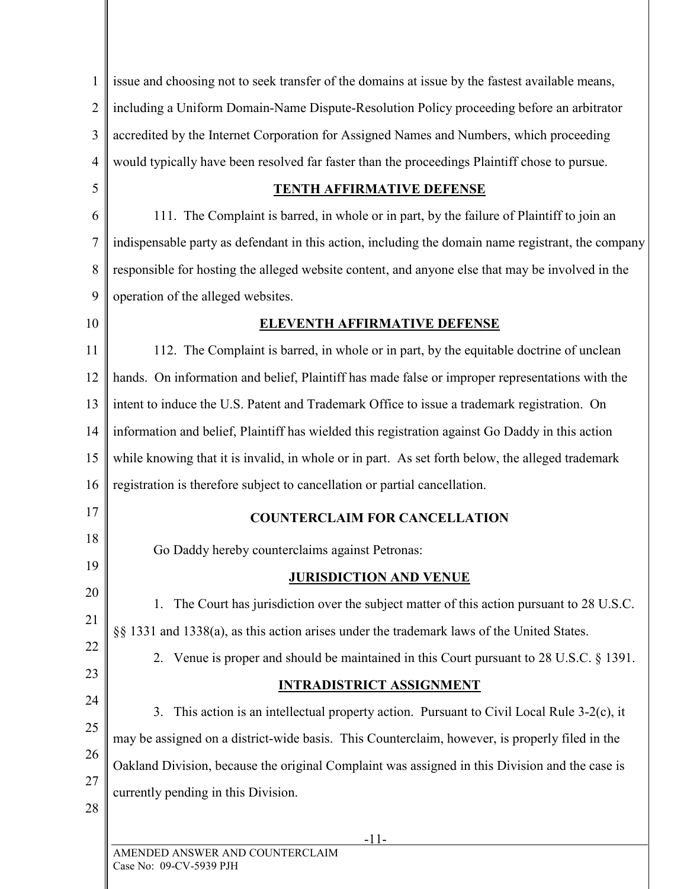| 1              | issue and choosing not to seek transfer of the domains at issue by the fastest available means,    |
|----------------|----------------------------------------------------------------------------------------------------|
| $\overline{2}$ | including a Uniform Domain-Name Dispute-Resolution Policy proceeding before an arbitrator          |
| 3              | accredited by the Internet Corporation for Assigned Names and Numbers, which proceeding            |
| $\overline{4}$ | would typically have been resolved far faster than the proceedings Plaintiff chose to pursue.      |
| 5              | <b>TENTH AFFIRMATIVE DEFENSE</b>                                                                   |
| 6              | 111. The Complaint is barred, in whole or in part, by the failure of Plaintiff to join an          |
| 7              | indispensable party as defendant in this action, including the domain name registrant, the company |
| 8              | responsible for hosting the alleged website content, and anyone else that may be involved in the   |
| 9              | operation of the alleged websites.                                                                 |
| 10             | <b>ELEVENTH AFFIRMATIVE DEFENSE</b>                                                                |
| 11             | 112. The Complaint is barred, in whole or in part, by the equitable doctrine of unclean            |
| 12             | hands. On information and belief, Plaintiff has made false or improper representations with the    |
| 13             | intent to induce the U.S. Patent and Trademark Office to issue a trademark registration. On        |
| 14             | information and belief, Plaintiff has wielded this registration against Go Daddy in this action    |
| 15             | while knowing that it is invalid, in whole or in part. As set forth below, the alleged trademark   |
| 16             | registration is therefore subject to cancellation or partial cancellation.                         |
| 17             | <b>COUNTERCLAIM FOR CANCELLATION</b>                                                               |
| 18             | Go Daddy hereby counterclaims against Petronas:                                                    |
| 19             | <b>JURISDICTION AND VENUE</b>                                                                      |
| 20             | The Court has jurisdiction over the subject matter of this action pursuant to 28 U.S.C.<br>1.      |
| 21             | §§ 1331 and 1338(a), as this action arises under the trademark laws of the United States.          |
| 22             | 2. Venue is proper and should be maintained in this Court pursuant to 28 U.S.C. § 1391.            |
| 23             | <b>INTRADISTRICT ASSIGNMENT</b>                                                                    |
| 24             | This action is an intellectual property action. Pursuant to Civil Local Rule 3-2(c), it<br>3.      |
| 25             | may be assigned on a district-wide basis. This Counterclaim, however, is properly filed in the     |
| 26             | Oakland Division, because the original Complaint was assigned in this Division and the case is     |
| 27             | currently pending in this Division.                                                                |
| 28             |                                                                                                    |
|                | $-11-$<br>AMENDED ANSWER AND COUNTERCLAIM                                                          |
|                | Case No: 09-CV-5939 PJH                                                                            |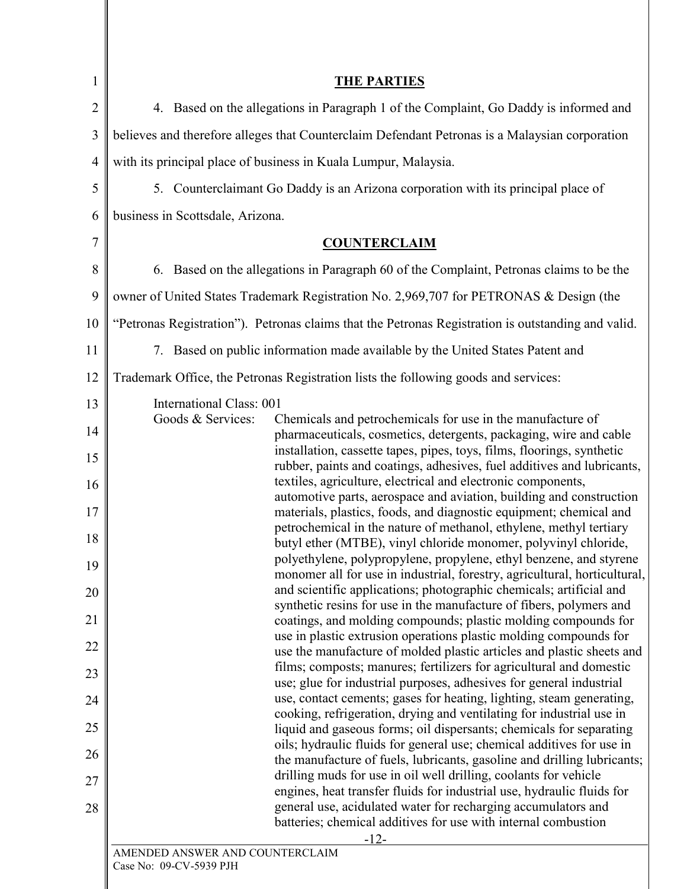| 1              | <b>THE PARTIES</b>                                                                                                                                   |
|----------------|------------------------------------------------------------------------------------------------------------------------------------------------------|
| $\overline{2}$ | 4. Based on the allegations in Paragraph 1 of the Complaint, Go Daddy is informed and                                                                |
| 3              | believes and therefore alleges that Counterclaim Defendant Petronas is a Malaysian corporation                                                       |
| $\overline{4}$ | with its principal place of business in Kuala Lumpur, Malaysia.                                                                                      |
| 5              | 5. Counterclaimant Go Daddy is an Arizona corporation with its principal place of                                                                    |
| 6              | business in Scottsdale, Arizona.                                                                                                                     |
| 7              | <b>COUNTERCLAIM</b>                                                                                                                                  |
| 8              | 6. Based on the allegations in Paragraph 60 of the Complaint, Petronas claims to be the                                                              |
| 9              | owner of United States Trademark Registration No. 2,969,707 for PETRONAS & Design (the                                                               |
| 10             | "Petronas Registration"). Petronas claims that the Petronas Registration is outstanding and valid.                                                   |
| 11             | 7. Based on public information made available by the United States Patent and                                                                        |
| 12             | Trademark Office, the Petronas Registration lists the following goods and services:                                                                  |
| 13             | International Class: 001                                                                                                                             |
| 14             | Goods & Services:<br>Chemicals and petrochemicals for use in the manufacture of<br>pharmaceuticals, cosmetics, detergents, packaging, wire and cable |
| 15             | installation, cassette tapes, pipes, toys, films, floorings, synthetic<br>rubber, paints and coatings, adhesives, fuel additives and lubricants,     |
| 16             | textiles, agriculture, electrical and electronic components,                                                                                         |
| 17             | automotive parts, aerospace and aviation, building and construction<br>materials, plastics, foods, and diagnostic equipment; chemical and            |
| 18             | petrochemical in the nature of methanol, ethylene, methyl tertiary<br>butyl ether (MTBE), vinyl chloride monomer, polyvinyl chloride,                |
| 19             | polyethylene, polypropylene, propylene, ethyl benzene, and styrene<br>monomer all for use in industrial, forestry, agricultural, horticultural,      |
| 20             | and scientific applications; photographic chemicals; artificial and                                                                                  |
| 21             | synthetic resins for use in the manufacture of fibers, polymers and<br>coatings, and molding compounds; plastic molding compounds for                |
| 22             | use in plastic extrusion operations plastic molding compounds for<br>use the manufacture of molded plastic articles and plastic sheets and           |
| 23             | films; composts; manures; fertilizers for agricultural and domestic                                                                                  |
| 24             | use; glue for industrial purposes, adhesives for general industrial<br>use, contact cements; gases for heating, lighting, steam generating,          |
| 25             | cooking, refrigeration, drying and ventilating for industrial use in<br>liquid and gaseous forms; oil dispersants; chemicals for separating          |
| 26             | oils; hydraulic fluids for general use; chemical additives for use in                                                                                |
| 27             | the manufacture of fuels, lubricants, gasoline and drilling lubricants;<br>drilling muds for use in oil well drilling, coolants for vehicle          |
| 28             | engines, heat transfer fluids for industrial use, hydraulic fluids for<br>general use, acidulated water for recharging accumulators and              |
|                | batteries; chemical additives for use with internal combustion                                                                                       |
|                | $-12-$<br>AMENDED ANSWER AND COUNTERCLAIM<br>Case No: 09-CV-5939 PJH                                                                                 |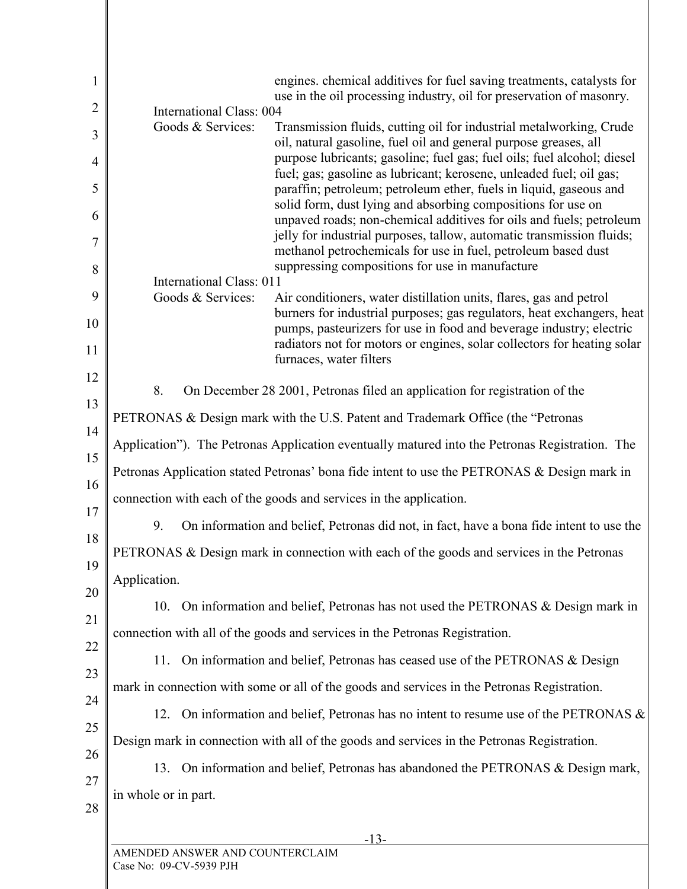|                      | <b>International Class: 004</b> | engines. chemical additives for fuel saving treatments, catalysts for<br>use in the oil processing industry, oil for preservation of masonry.                                             |
|----------------------|---------------------------------|-------------------------------------------------------------------------------------------------------------------------------------------------------------------------------------------|
|                      | Goods & Services:               | Transmission fluids, cutting oil for industrial metalworking, Crude<br>oil, natural gasoline, fuel oil and general purpose greases, all                                                   |
|                      |                                 | purpose lubricants; gasoline; fuel gas; fuel oils; fuel alcohol; diesel                                                                                                                   |
|                      |                                 | fuel; gas; gasoline as lubricant; kerosene, unleaded fuel; oil gas;<br>paraffin; petroleum; petroleum ether, fuels in liquid, gaseous and                                                 |
|                      |                                 | solid form, dust lying and absorbing compositions for use on<br>unpaved roads; non-chemical additives for oils and fuels; petroleum                                                       |
|                      |                                 | jelly for industrial purposes, tallow, automatic transmission fluids;<br>methanol petrochemicals for use in fuel, petroleum based dust<br>suppressing compositions for use in manufacture |
|                      | International Class: 011        |                                                                                                                                                                                           |
|                      | Goods & Services:               | Air conditioners, water distillation units, flares, gas and petrol<br>burners for industrial purposes; gas regulators, heat exchangers, heat                                              |
|                      |                                 | pumps, pasteurizers for use in food and beverage industry; electric<br>radiators not for motors or engines, solar collectors for heating solar<br>furnaces, water filters                 |
|                      |                                 |                                                                                                                                                                                           |
| 8.                   |                                 | On December 28 2001, Petronas filed an application for registration of the                                                                                                                |
|                      |                                 | PETRONAS & Design mark with the U.S. Patent and Trademark Office (the "Petronas"                                                                                                          |
|                      |                                 | Application"). The Petronas Application eventually matured into the Petronas Registration. The                                                                                            |
|                      |                                 | Petronas Application stated Petronas' bona fide intent to use the PETRONAS & Design mark in                                                                                               |
|                      |                                 | connection with each of the goods and services in the application.                                                                                                                        |
| 9.                   |                                 | On information and belief, Petronas did not, in fact, have a bona fide intent to use the                                                                                                  |
|                      |                                 | PETRONAS & Design mark in connection with each of the goods and services in the Petronas                                                                                                  |
| Application.         |                                 |                                                                                                                                                                                           |
| 10.                  |                                 | On information and belief, Petronas has not used the PETRONAS & Design mark in                                                                                                            |
|                      |                                 | connection with all of the goods and services in the Petronas Registration.                                                                                                               |
| 11.                  |                                 | On information and belief, Petronas has ceased use of the PETRONAS & Design                                                                                                               |
|                      |                                 | mark in connection with some or all of the goods and services in the Petronas Registration.                                                                                               |
| 12.                  |                                 | On information and belief, Petronas has no intent to resume use of the PETRONAS &                                                                                                         |
|                      |                                 | Design mark in connection with all of the goods and services in the Petronas Registration.                                                                                                |
| 13.                  |                                 | On information and belief, Petronas has abandoned the PETRONAS & Design mark,                                                                                                             |
| in whole or in part. |                                 |                                                                                                                                                                                           |
|                      |                                 | $-13-$                                                                                                                                                                                    |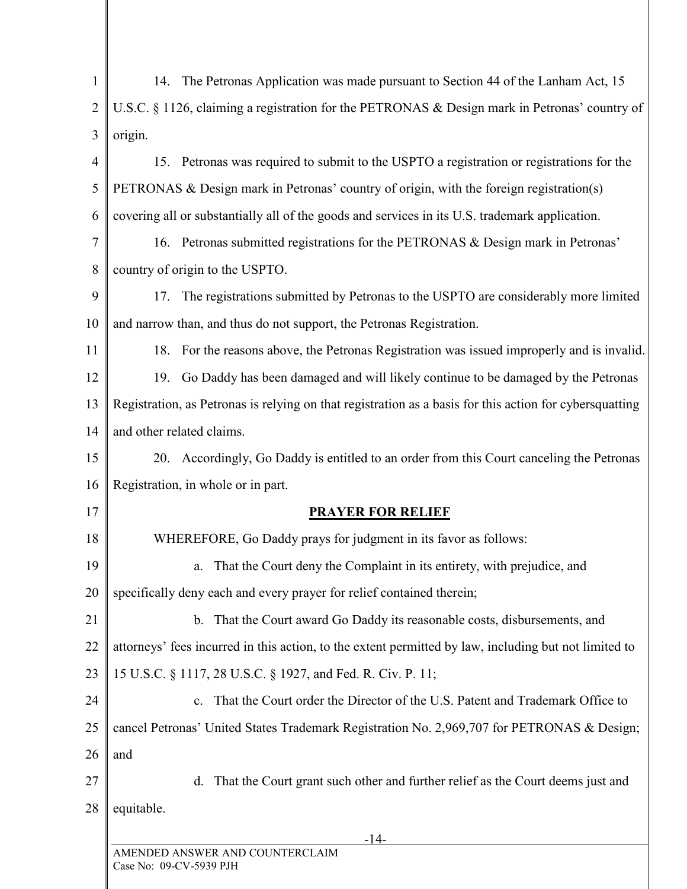| U.S.C. § 1126, claiming a registration for the PETRONAS & Design mark in Petronas' country of                                                                     |  |  |
|-------------------------------------------------------------------------------------------------------------------------------------------------------------------|--|--|
|                                                                                                                                                                   |  |  |
|                                                                                                                                                                   |  |  |
|                                                                                                                                                                   |  |  |
| 15. Petronas was required to submit to the USPTO a registration or registrations for the                                                                          |  |  |
|                                                                                                                                                                   |  |  |
|                                                                                                                                                                   |  |  |
|                                                                                                                                                                   |  |  |
|                                                                                                                                                                   |  |  |
| 17. The registrations submitted by Petronas to the USPTO are considerably more limited                                                                            |  |  |
|                                                                                                                                                                   |  |  |
| 18. For the reasons above, the Petronas Registration was issued improperly and is invalid.                                                                        |  |  |
| 19. Go Daddy has been damaged and will likely continue to be damaged by the Petronas                                                                              |  |  |
| Registration, as Petronas is relying on that registration as a basis for this action for cybersquatting<br>13                                                     |  |  |
|                                                                                                                                                                   |  |  |
| 20. Accordingly, Go Daddy is entitled to an order from this Court canceling the Petronas                                                                          |  |  |
|                                                                                                                                                                   |  |  |
|                                                                                                                                                                   |  |  |
|                                                                                                                                                                   |  |  |
|                                                                                                                                                                   |  |  |
|                                                                                                                                                                   |  |  |
|                                                                                                                                                                   |  |  |
| attorneys' fees incurred in this action, to the extent permitted by law, including but not limited to                                                             |  |  |
|                                                                                                                                                                   |  |  |
|                                                                                                                                                                   |  |  |
| cancel Petronas' United States Trademark Registration No. 2,969,707 for PETRONAS & Design;                                                                        |  |  |
|                                                                                                                                                                   |  |  |
|                                                                                                                                                                   |  |  |
|                                                                                                                                                                   |  |  |
|                                                                                                                                                                   |  |  |
| c. That the Court order the Director of the U.S. Patent and Trademark Office to<br>That the Court grant such other and further relief as the Court deems just and |  |  |

 $\mathbf{I}$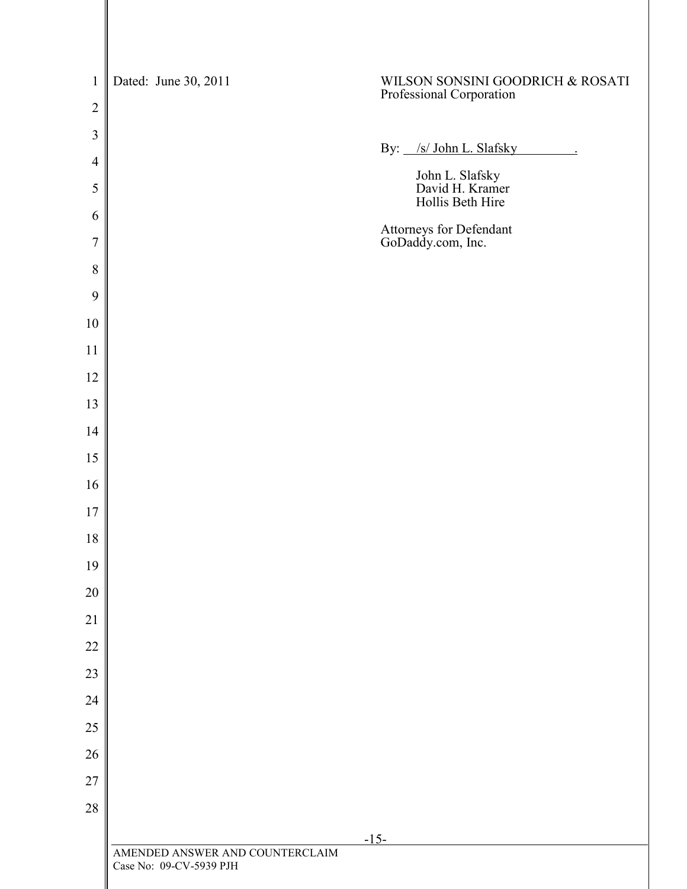| $\mathbf{1}$     | Dated: June 30, 2011                                       | WILSON SONSINI GOODRICH & ROSATI<br>Professional Corporation |
|------------------|------------------------------------------------------------|--------------------------------------------------------------|
| $\overline{2}$   |                                                            |                                                              |
| $\mathfrak{Z}$   |                                                            | By: /s/ John L. Slafsky<br>$\sim 10^{-10}$ $\sim$            |
| $\overline{4}$   |                                                            |                                                              |
| 5                |                                                            | John L. Slafsky<br>David H. Kramer<br>Hollis Beth Hire       |
| 6                |                                                            | Attorneys for Defendant<br>GoDaddy.com, Inc.                 |
| $\boldsymbol{7}$ |                                                            |                                                              |
| $\, 8$<br>9      |                                                            |                                                              |
| $10\,$           |                                                            |                                                              |
| 11               |                                                            |                                                              |
| 12               |                                                            |                                                              |
| 13               |                                                            |                                                              |
| 14               |                                                            |                                                              |
| 15               |                                                            |                                                              |
| 16               |                                                            |                                                              |
| 17               |                                                            |                                                              |
| 18               |                                                            |                                                              |
| 19               |                                                            |                                                              |
| 20               |                                                            |                                                              |
| 21               |                                                            |                                                              |
| $22\,$           |                                                            |                                                              |
| 23               |                                                            |                                                              |
| 24               |                                                            |                                                              |
| $25\,$           |                                                            |                                                              |
| 26               |                                                            |                                                              |
| $27\,$           |                                                            |                                                              |
| 28               |                                                            |                                                              |
|                  | $-15-$                                                     |                                                              |
|                  | AMENDED ANSWER AND COUNTERCLAIM<br>Case No: 09-CV-5939 PJH |                                                              |
|                  |                                                            |                                                              |

 $\mathsf{I}$